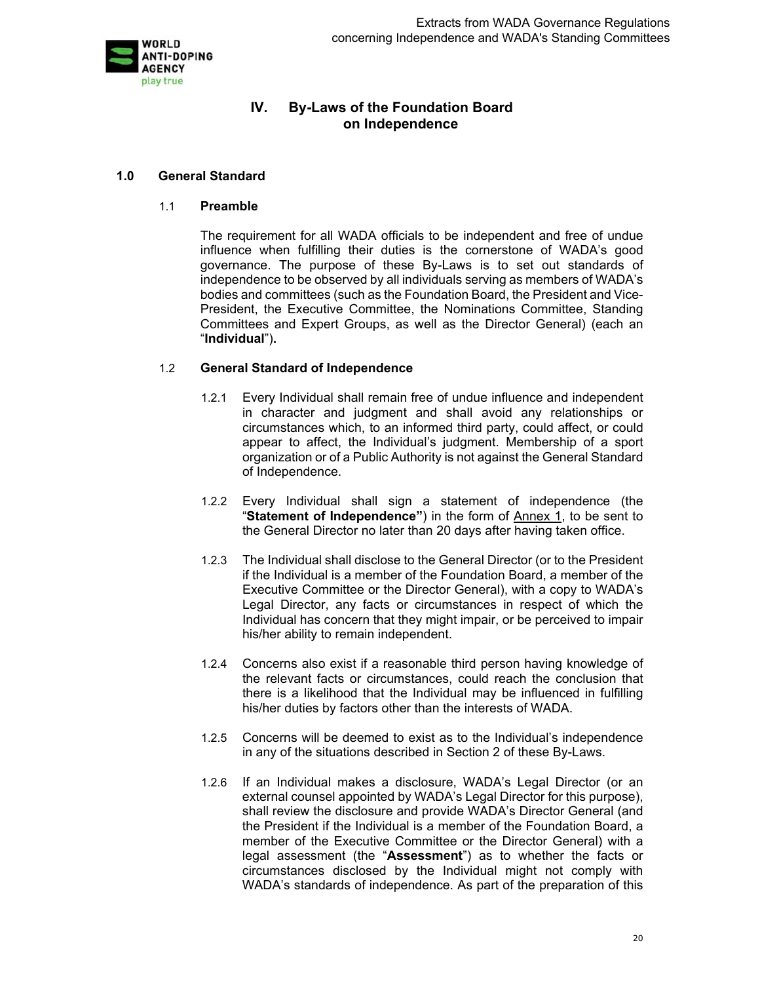

# **IV. By-Laws of the Foundation Board on Independence**

#### **1.0 General Standard**

#### 1.1 **Preamble**

The requirement for all WADA officials to be independent and free of undue influence when fulfilling their duties is the cornerstone of WADA's good governance. The purpose of these By-Laws is to set out standards of independence to be observed by all individuals serving as members of WADA's bodies and committees (such as the Foundation Board, the President and Vice-President, the Executive Committee, the Nominations Committee, Standing Committees and Expert Groups, as well as the Director General) (each an "**Individual**")**.** 

### 1.2 **General Standard of Independence**

- 1.2.1 Every Individual shall remain free of undue influence and independent in character and judgment and shall avoid any relationships or circumstances which, to an informed third party, could affect, or could appear to affect, the Individual's judgment. Membership of a sport organization or of a Public Authority is not against the General Standard of Independence.
- 1.2.2 Every Individual shall sign a statement of independence (the "**Statement of Independence"**) in the form of Annex 1, to be sent to the General Director no later than 20 days after having taken office.
- 1.2.3 The Individual shall disclose to the General Director (or to the President if the Individual is a member of the Foundation Board, a member of the Executive Committee or the Director General), with a copy to WADA's Legal Director, any facts or circumstances in respect of which the Individual has concern that they might impair, or be perceived to impair his/her ability to remain independent.
- 1.2.4 Concerns also exist if a reasonable third person having knowledge of the relevant facts or circumstances, could reach the conclusion that there is a likelihood that the Individual may be influenced in fulfilling his/her duties by factors other than the interests of WADA.
- 1.2.5 Concerns will be deemed to exist as to the Individual's independence in any of the situations described in Section 2 of these By-Laws.
- 1.2.6 If an Individual makes a disclosure, WADA's Legal Director (or an external counsel appointed by WADA's Legal Director for this purpose), shall review the disclosure and provide WADA's Director General (and the President if the Individual is a member of the Foundation Board, a member of the Executive Committee or the Director General) with a legal assessment (the "**Assessment**") as to whether the facts or circumstances disclosed by the Individual might not comply with WADA's standards of independence. As part of the preparation of this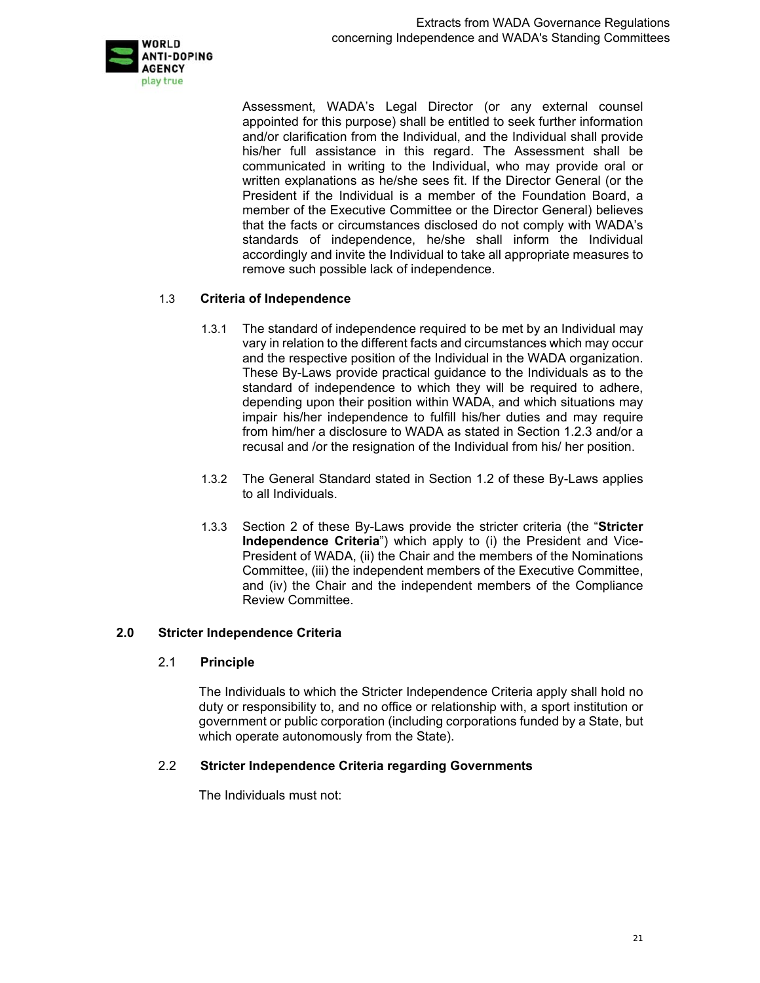

Assessment, WADA's Legal Director (or any external counsel appointed for this purpose) shall be entitled to seek further information and/or clarification from the Individual, and the Individual shall provide his/her full assistance in this regard. The Assessment shall be communicated in writing to the Individual, who may provide oral or written explanations as he/she sees fit. If the Director General (or the President if the Individual is a member of the Foundation Board, a member of the Executive Committee or the Director General) believes that the facts or circumstances disclosed do not comply with WADA's standards of independence, he/she shall inform the Individual accordingly and invite the Individual to take all appropriate measures to remove such possible lack of independence.

### 1.3 **Criteria of Independence**

- 1.3.1 The standard of independence required to be met by an Individual may vary in relation to the different facts and circumstances which may occur and the respective position of the Individual in the WADA organization. These By-Laws provide practical guidance to the Individuals as to the standard of independence to which they will be required to adhere, depending upon their position within WADA, and which situations may impair his/her independence to fulfill his/her duties and may require from him/her a disclosure to WADA as stated in Section 1.2.3 and/or a recusal and /or the resignation of the Individual from his/ her position.
- 1.3.2 The General Standard stated in Section 1.2 of these By-Laws applies to all Individuals.
- 1.3.3 Section 2 of these By-Laws provide the stricter criteria (the "**Stricter Independence Criteria**") which apply to (i) the President and Vice-President of WADA, (ii) the Chair and the members of the Nominations Committee, (iii) the independent members of the Executive Committee, and (iv) the Chair and the independent members of the Compliance Review Committee.

### **2.0 Stricter Independence Criteria**

### 2.1 **Principle**

The Individuals to which the Stricter Independence Criteria apply shall hold no duty or responsibility to, and no office or relationship with, a sport institution or government or public corporation (including corporations funded by a State, but which operate autonomously from the State).

## 2.2 **Stricter Independence Criteria regarding Governments**

The Individuals must not: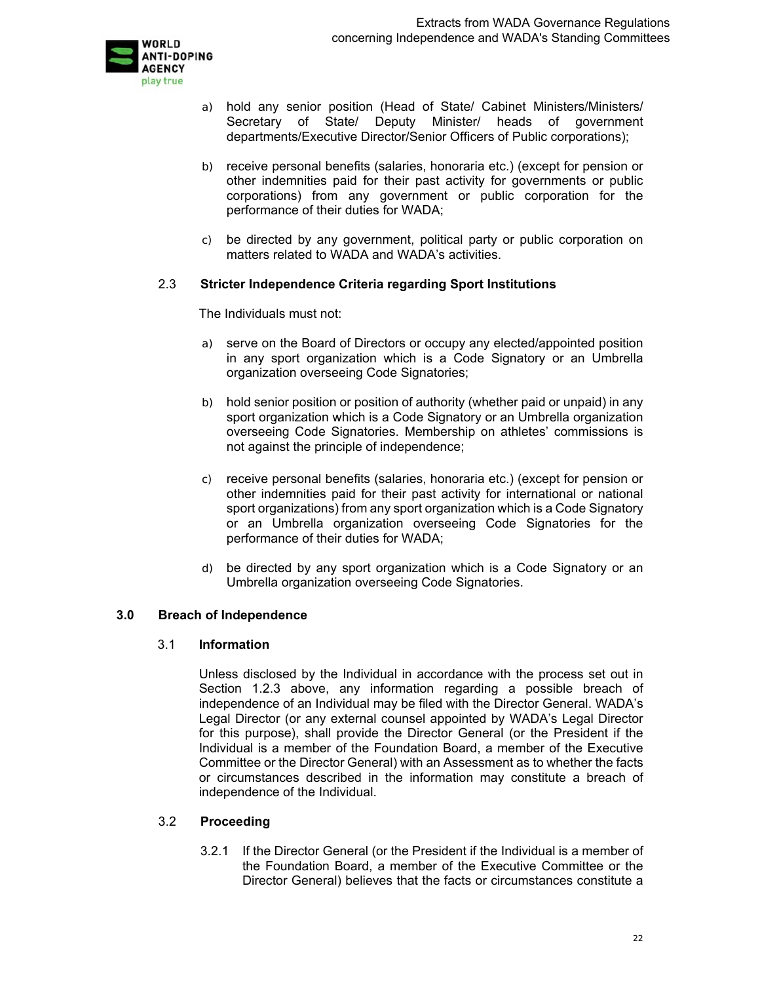

- a) hold any senior position (Head of State/ Cabinet Ministers/Ministers/ Secretary of State/ Deputy Minister/ heads of government departments/Executive Director/Senior Officers of Public corporations);
- b) receive personal benefits (salaries, honoraria etc.) (except for pension or other indemnities paid for their past activity for governments or public corporations) from any government or public corporation for the performance of their duties for WADA;
- c) be directed by any government, political party or public corporation on matters related to WADA and WADA's activities.

### 2.3 **Stricter Independence Criteria regarding Sport Institutions**

The Individuals must not:

- a) serve on the Board of Directors or occupy any elected/appointed position in any sport organization which is a Code Signatory or an Umbrella organization overseeing Code Signatories;
- b) hold senior position or position of authority (whether paid or unpaid) in any sport organization which is a Code Signatory or an Umbrella organization overseeing Code Signatories. Membership on athletes' commissions is not against the principle of independence;
- c) receive personal benefits (salaries, honoraria etc.) (except for pension or other indemnities paid for their past activity for international or national sport organizations) from any sport organization which is a Code Signatory or an Umbrella organization overseeing Code Signatories for the performance of their duties for WADA;
- d) be directed by any sport organization which is a Code Signatory or an Umbrella organization overseeing Code Signatories.

### **3.0 Breach of Independence**

#### 3.1 **Information**

Unless disclosed by the Individual in accordance with the process set out in Section 1.2.3 above, any information regarding a possible breach of independence of an Individual may be filed with the Director General. WADA's Legal Director (or any external counsel appointed by WADA's Legal Director for this purpose), shall provide the Director General (or the President if the Individual is a member of the Foundation Board, a member of the Executive Committee or the Director General) with an Assessment as to whether the facts or circumstances described in the information may constitute a breach of independence of the Individual.

### 3.2 **Proceeding**

3.2.1 If the Director General (or the President if the Individual is a member of the Foundation Board, a member of the Executive Committee or the Director General) believes that the facts or circumstances constitute a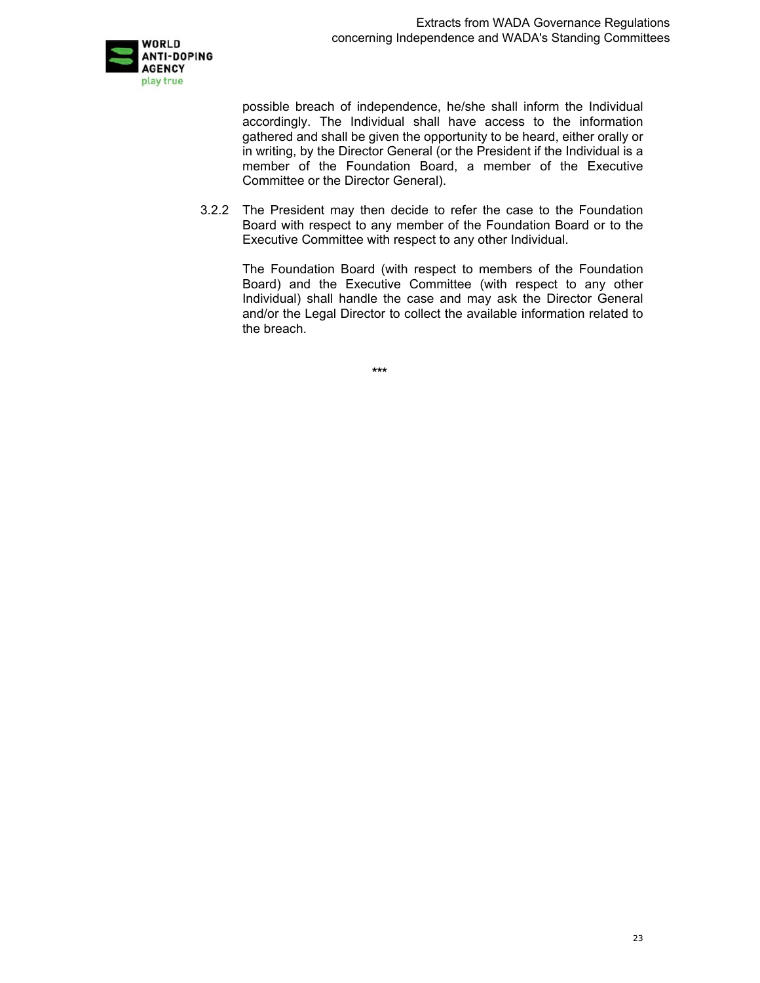

possible breach of independence, he/she shall inform the Individual accordingly. The Individual shall have access to the information gathered and shall be given the opportunity to be heard, either orally or in writing, by the Director General (or the President if the Individual is a member of the Foundation Board, a member of the Executive Committee or the Director General).

3.2.2 The President may then decide to refer the case to the Foundation Board with respect to any member of the Foundation Board or to the Executive Committee with respect to any other Individual.

> The Foundation Board (with respect to members of the Foundation Board) and the Executive Committee (with respect to any other Individual) shall handle the case and may ask the Director General and/or the Legal Director to collect the available information related to the breach.

> > **\*\*\***